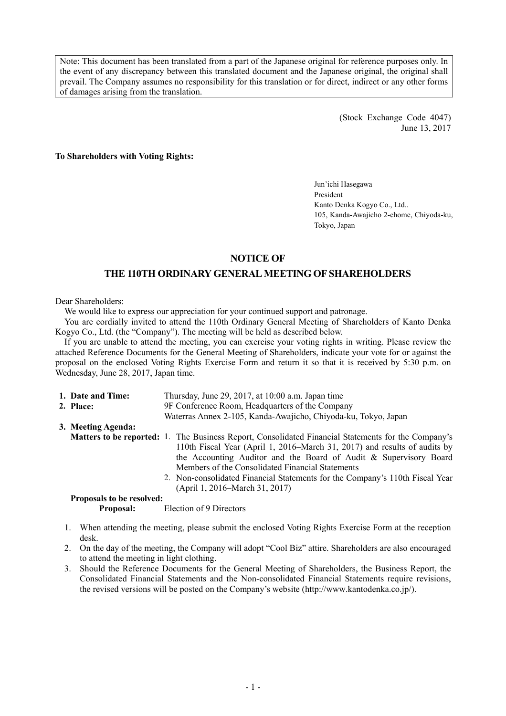Note: This document has been translated from a part of the Japanese original for reference purposes only. In the event of any discrepancy between this translated document and the Japanese original, the original shall prevail. The Company assumes no responsibility for this translation or for direct, indirect or any other forms of damages arising from the translation.

> (Stock Exchange Code 4047) June 13, 2017

**To Shareholders with Voting Rights:** 

Jun'ichi Hasegawa President Kanto Denka Kogyo Co., Ltd.. 105, Kanda-Awajicho 2-chome, Chiyoda-ku, Tokyo, Japan

## **NOTICE OF**

## **THE 110TH ORDINARY GENERAL MEETING OF SHAREHOLDERS**

Dear Shareholders:

We would like to express our appreciation for your continued support and patronage.

You are cordially invited to attend the 110th Ordinary General Meeting of Shareholders of Kanto Denka Kogyo Co., Ltd. (the "Company"). The meeting will be held as described below.

If you are unable to attend the meeting, you can exercise your voting rights in writing. Please review the attached Reference Documents for the General Meeting of Shareholders, indicate your vote for or against the proposal on the enclosed Voting Rights Exercise Form and return it so that it is received by 5:30 p.m. on Wednesday, June 28, 2017, Japan time.

| 1. Date and Time:                | Thursday, June 29, 2017, at 10:00 a.m. Japan time                                                                                                                                                                                                                                                                                                                                                                                  |  |  |  |
|----------------------------------|------------------------------------------------------------------------------------------------------------------------------------------------------------------------------------------------------------------------------------------------------------------------------------------------------------------------------------------------------------------------------------------------------------------------------------|--|--|--|
| 2. Place:                        | 9F Conference Room, Headquarters of the Company                                                                                                                                                                                                                                                                                                                                                                                    |  |  |  |
|                                  | Waterras Annex 2-105, Kanda-Awajicho, Chiyoda-ku, Tokyo, Japan                                                                                                                                                                                                                                                                                                                                                                     |  |  |  |
| 3. Meeting Agenda:               |                                                                                                                                                                                                                                                                                                                                                                                                                                    |  |  |  |
|                                  | <b>Matters to be reported:</b> 1. The Business Report, Consolidated Financial Statements for the Company's<br>110th Fiscal Year (April 1, 2016–March 31, 2017) and results of audits by<br>the Accounting Auditor and the Board of Audit & Supervisory Board<br>Members of the Consolidated Financial Statements<br>2. Non-consolidated Financial Statements for the Company's 110th Fiscal Year<br>(April 1, 2016–March 31, 2017) |  |  |  |
| <b>Proposals to be resolved:</b> |                                                                                                                                                                                                                                                                                                                                                                                                                                    |  |  |  |

**Proposal:** Election of 9 Directors

- 1. When attending the meeting, please submit the enclosed Voting Rights Exercise Form at the reception desk.
- 2. On the day of the meeting, the Company will adopt "Cool Biz" attire. Shareholders are also encouraged to attend the meeting in light clothing.
- 3. Should the Reference Documents for the General Meeting of Shareholders, the Business Report, the Consolidated Financial Statements and the Non-consolidated Financial Statements require revisions, the revised versions will be posted on the Company's website (http://www.kantodenka.co.jp/).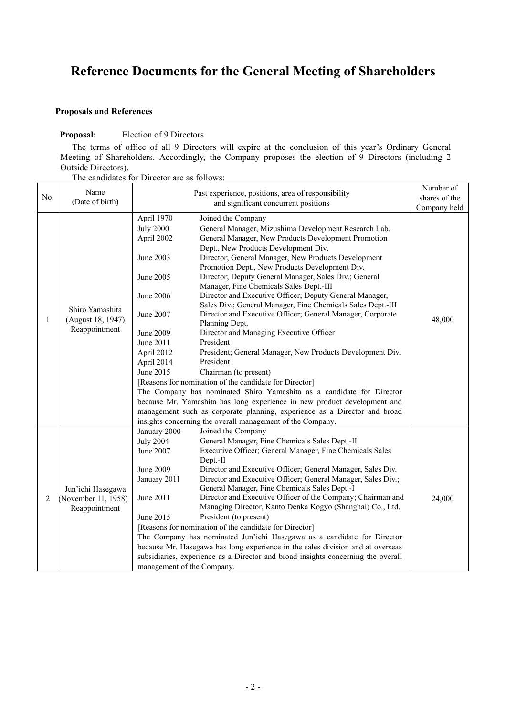# **Reference Documents for the General Meeting of Shareholders**

## **Proposals and References**

#### **Proposal:** Election of 9 Directors

The terms of office of all 9 Directors will expire at the conclusion of this year's Ordinary General Meeting of Shareholders. Accordingly, the Company proposes the election of 9 Directors (including 2 Outside Directors).

| The candidates for Director are as follows: |  |
|---------------------------------------------|--|
|---------------------------------------------|--|

| No. | Name<br>(Date of birth)                                   | Past experience, positions, area of responsibility                                                                                                                  |                                                                                                                                                                                                                                                                                                                                                                                                                                                                                                                                                                                                                                                                                                                                                                                                                                                                                                                                                                            | Number of<br>shares of the |
|-----|-----------------------------------------------------------|---------------------------------------------------------------------------------------------------------------------------------------------------------------------|----------------------------------------------------------------------------------------------------------------------------------------------------------------------------------------------------------------------------------------------------------------------------------------------------------------------------------------------------------------------------------------------------------------------------------------------------------------------------------------------------------------------------------------------------------------------------------------------------------------------------------------------------------------------------------------------------------------------------------------------------------------------------------------------------------------------------------------------------------------------------------------------------------------------------------------------------------------------------|----------------------------|
|     |                                                           | and significant concurrent positions                                                                                                                                |                                                                                                                                                                                                                                                                                                                                                                                                                                                                                                                                                                                                                                                                                                                                                                                                                                                                                                                                                                            | Company held               |
| 1   | Shiro Yamashita<br>(August 18, 1947)<br>Reappointment     | April 1970<br><b>July 2000</b><br>April 2002<br>June 2003<br>June 2005<br>June 2006<br>June 2007<br>June 2009<br>June 2011<br>April 2012<br>April 2014<br>June 2015 | Joined the Company<br>General Manager, Mizushima Development Research Lab.<br>General Manager, New Products Development Promotion<br>Dept., New Products Development Div.<br>Director; General Manager, New Products Development<br>Promotion Dept., New Products Development Div.<br>Director; Deputy General Manager, Sales Div.; General<br>Manager, Fine Chemicals Sales Dept.-III<br>Director and Executive Officer; Deputy General Manager,<br>Sales Div.; General Manager, Fine Chemicals Sales Dept.-III<br>Director and Executive Officer; General Manager, Corporate<br>Planning Dept.<br>Director and Managing Executive Officer<br>President<br>President; General Manager, New Products Development Div.<br>President<br>Chairman (to present)<br>[Reasons for nomination of the candidate for Director]<br>The Company has nominated Shiro Yamashita as a candidate for Director<br>because Mr. Yamashita has long experience in new product development and | 48,000                     |
|     |                                                           |                                                                                                                                                                     | management such as corporate planning, experience as a Director and broad                                                                                                                                                                                                                                                                                                                                                                                                                                                                                                                                                                                                                                                                                                                                                                                                                                                                                                  |                            |
|     |                                                           |                                                                                                                                                                     | insights concerning the overall management of the Company.                                                                                                                                                                                                                                                                                                                                                                                                                                                                                                                                                                                                                                                                                                                                                                                                                                                                                                                 |                            |
| 2   | Jun'ichi Hasegawa<br>(November 11, 1958)<br>Reappointment | January 2000<br><b>July 2004</b><br>June 2007<br>June 2009<br>January 2011<br>June 2011<br>June 2015<br>management of the Company.                                  | Joined the Company<br>General Manager, Fine Chemicals Sales Dept.-II<br>Executive Officer; General Manager, Fine Chemicals Sales<br>Dept.-II<br>Director and Executive Officer; General Manager, Sales Div.<br>Director and Executive Officer; General Manager, Sales Div.;<br>General Manager, Fine Chemicals Sales Dept.-I<br>Director and Executive Officer of the Company; Chairman and<br>Managing Director, Kanto Denka Kogyo (Shanghai) Co., Ltd.<br>President (to present)<br>[Reasons for nomination of the candidate for Director]<br>The Company has nominated Jun'ichi Hasegawa as a candidate for Director<br>because Mr. Hasegawa has long experience in the sales division and at overseas<br>subsidiaries, experience as a Director and broad insights concerning the overall                                                                                                                                                                              | 24,000                     |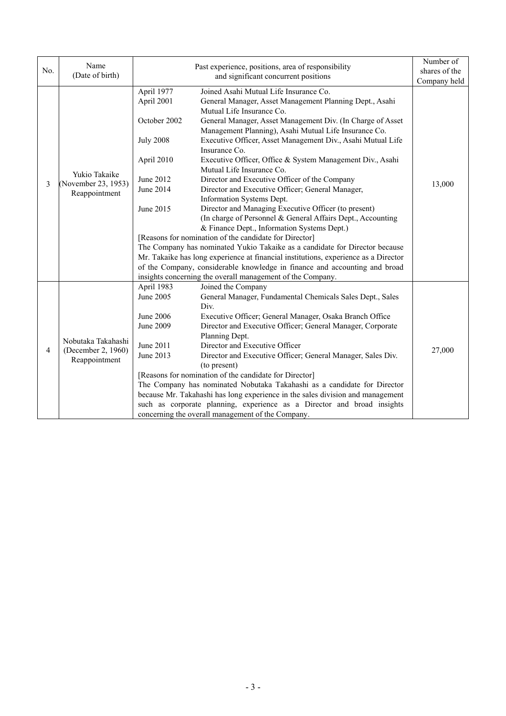| No. | Name                                | Past experience, positions, area of responsibility<br>and significant concurrent positions |                                                                                | Number of     |
|-----|-------------------------------------|--------------------------------------------------------------------------------------------|--------------------------------------------------------------------------------|---------------|
|     | (Date of birth)                     |                                                                                            |                                                                                | shares of the |
|     |                                     |                                                                                            |                                                                                | Company held  |
|     |                                     | April 1977                                                                                 | Joined Asahi Mutual Life Insurance Co.                                         |               |
|     |                                     | April 2001                                                                                 | General Manager, Asset Management Planning Dept., Asahi                        |               |
|     |                                     |                                                                                            | Mutual Life Insurance Co.                                                      |               |
|     |                                     | October 2002                                                                               | General Manager, Asset Management Div. (In Charge of Asset                     |               |
|     |                                     |                                                                                            | Management Planning), Asahi Mutual Life Insurance Co.                          |               |
|     |                                     | <b>July 2008</b>                                                                           | Executive Officer, Asset Management Div., Asahi Mutual Life                    |               |
|     |                                     |                                                                                            | Insurance Co.                                                                  |               |
|     |                                     | April 2010                                                                                 | Executive Officer, Office & System Management Div., Asahi                      |               |
|     | Yukio Takaike                       |                                                                                            | Mutual Life Insurance Co.                                                      |               |
| 3   | (November 23, 1953)                 | June 2012                                                                                  | Director and Executive Officer of the Company                                  | 13,000        |
|     | Reappointment                       | June 2014                                                                                  | Director and Executive Officer; General Manager,                               |               |
|     |                                     |                                                                                            | Information Systems Dept.                                                      |               |
|     |                                     | June 2015                                                                                  | Director and Managing Executive Officer (to present)                           |               |
|     |                                     |                                                                                            | (In charge of Personnel & General Affairs Dept., Accounting                    |               |
|     |                                     |                                                                                            | & Finance Dept., Information Systems Dept.)                                    |               |
|     |                                     | [Reasons for nomination of the candidate for Director]                                     |                                                                                |               |
|     |                                     | The Company has nominated Yukio Takaike as a candidate for Director because                |                                                                                |               |
|     |                                     | Mr. Takaike has long experience at financial institutions, experience as a Director        |                                                                                |               |
|     |                                     |                                                                                            | of the Company, considerable knowledge in finance and accounting and broad     |               |
|     |                                     |                                                                                            | insights concerning the overall management of the Company.                     |               |
|     |                                     | April 1983                                                                                 | Joined the Company                                                             |               |
|     |                                     | June 2005                                                                                  | General Manager, Fundamental Chemicals Sales Dept., Sales                      |               |
|     |                                     |                                                                                            | Div.                                                                           |               |
|     |                                     | June 2006                                                                                  | Executive Officer; General Manager, Osaka Branch Office                        |               |
|     |                                     | June 2009                                                                                  | Director and Executive Officer; General Manager, Corporate                     |               |
|     | Nobutaka Takahashi                  |                                                                                            | Planning Dept.                                                                 |               |
| 4   | (December 2, 1960)<br>Reappointment | June 2011                                                                                  | Director and Executive Officer                                                 | 27,000        |
|     |                                     | June 2013                                                                                  | Director and Executive Officer; General Manager, Sales Div.                    |               |
|     |                                     |                                                                                            | (to present)                                                                   |               |
|     |                                     |                                                                                            | [Reasons for nomination of the candidate for Director]                         |               |
|     |                                     |                                                                                            | The Company has nominated Nobutaka Takahashi as a candidate for Director       |               |
|     |                                     |                                                                                            | because Mr. Takahashi has long experience in the sales division and management |               |
|     |                                     |                                                                                            | such as corporate planning, experience as a Director and broad insights        |               |
|     |                                     |                                                                                            | concerning the overall management of the Company.                              |               |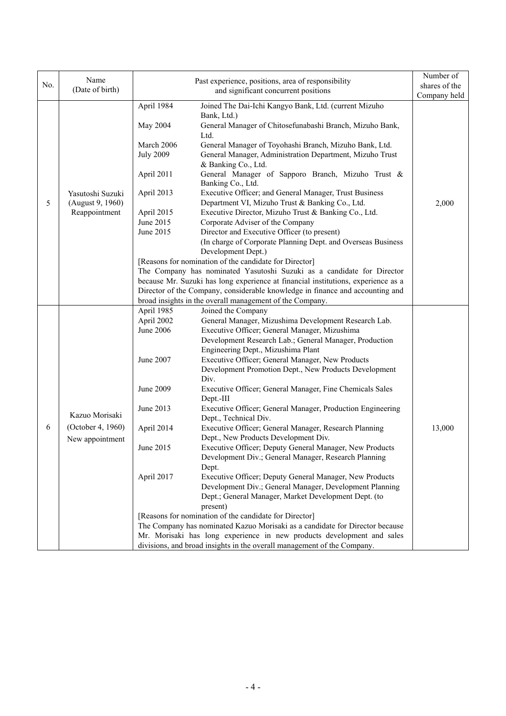|     |                                                        |                  |                                                                                                                                                                    | Number of     |
|-----|--------------------------------------------------------|------------------|--------------------------------------------------------------------------------------------------------------------------------------------------------------------|---------------|
| No. | Name                                                   |                  | Past experience, positions, area of responsibility                                                                                                                 | shares of the |
|     | (Date of birth)                                        |                  | and significant concurrent positions                                                                                                                               | Company held  |
|     |                                                        | April 1984       | Joined The Dai-Ichi Kangyo Bank, Ltd. (current Mizuho                                                                                                              |               |
|     |                                                        |                  | Bank, Ltd.)                                                                                                                                                        |               |
|     |                                                        | May 2004         | General Manager of Chitosefunabashi Branch, Mizuho Bank,                                                                                                           |               |
|     |                                                        |                  | Ltd.                                                                                                                                                               |               |
|     |                                                        | March 2006       | General Manager of Toyohashi Branch, Mizuho Bank, Ltd.                                                                                                             |               |
|     |                                                        | <b>July 2009</b> | General Manager, Administration Department, Mizuho Trust                                                                                                           |               |
|     |                                                        |                  | & Banking Co., Ltd.                                                                                                                                                |               |
|     |                                                        | April 2011       | General Manager of Sapporo Branch, Mizuho Trust &                                                                                                                  |               |
|     |                                                        |                  | Banking Co., Ltd.                                                                                                                                                  |               |
|     | Yasutoshi Suzuki                                       | April 2013       | Executive Officer; and General Manager, Trust Business                                                                                                             |               |
| 5   | (August 9, 1960)                                       |                  | Department VI, Mizuho Trust & Banking Co., Ltd.                                                                                                                    | 2,000         |
|     | Reappointment                                          | April 2015       | Executive Director, Mizuho Trust & Banking Co., Ltd.                                                                                                               |               |
|     |                                                        | June 2015        | Corporate Adviser of the Company                                                                                                                                   |               |
|     |                                                        | June 2015        | Director and Executive Officer (to present)                                                                                                                        |               |
|     |                                                        |                  | (In charge of Corporate Planning Dept. and Overseas Business                                                                                                       |               |
|     |                                                        |                  | Development Dept.)                                                                                                                                                 |               |
|     |                                                        |                  | [Reasons for nomination of the candidate for Director]                                                                                                             |               |
|     |                                                        |                  | The Company has nominated Yasutoshi Suzuki as a candidate for Director                                                                                             |               |
|     |                                                        |                  | because Mr. Suzuki has long experience at financial institutions, experience as a<br>Director of the Company, considerable knowledge in finance and accounting and |               |
|     |                                                        |                  | broad insights in the overall management of the Company.                                                                                                           |               |
|     |                                                        | April 1985       | Joined the Company                                                                                                                                                 |               |
|     |                                                        | April 2002       | General Manager, Mizushima Development Research Lab.                                                                                                               |               |
|     | Kazuo Morisaki<br>(October 4, 1960)<br>New appointment | June 2006        | Executive Officer; General Manager, Mizushima                                                                                                                      |               |
|     |                                                        |                  | Development Research Lab.; General Manager, Production                                                                                                             |               |
|     |                                                        |                  | Engineering Dept., Mizushima Plant                                                                                                                                 |               |
|     |                                                        | June 2007        | Executive Officer; General Manager, New Products                                                                                                                   |               |
|     |                                                        |                  | Development Promotion Dept., New Products Development                                                                                                              |               |
|     |                                                        |                  | Div.                                                                                                                                                               |               |
|     |                                                        | June 2009        | Executive Officer; General Manager, Fine Chemicals Sales                                                                                                           |               |
|     |                                                        |                  | Dept.-III                                                                                                                                                          |               |
|     |                                                        | June 2013        | Executive Officer; General Manager, Production Engineering                                                                                                         |               |
|     |                                                        |                  | Dept., Technical Div.                                                                                                                                              |               |
| 6   |                                                        | April 2014       | Executive Officer; General Manager, Research Planning                                                                                                              | 13,000        |
|     |                                                        |                  | Dept., New Products Development Div.                                                                                                                               |               |
|     |                                                        | June 2015        | Executive Officer; Deputy General Manager, New Products                                                                                                            |               |
|     |                                                        |                  | Development Div.; General Manager, Research Planning                                                                                                               |               |
|     |                                                        |                  | Dept.                                                                                                                                                              |               |
|     |                                                        | April 2017       | Executive Officer; Deputy General Manager, New Products                                                                                                            |               |
|     |                                                        |                  | Development Div.; General Manager, Development Planning                                                                                                            |               |
|     |                                                        |                  | Dept.; General Manager, Market Development Dept. (to                                                                                                               |               |
|     |                                                        |                  | present)                                                                                                                                                           |               |
|     |                                                        |                  | [Reasons for nomination of the candidate for Director]                                                                                                             |               |
|     |                                                        |                  | The Company has nominated Kazuo Morisaki as a candidate for Director because                                                                                       |               |
|     |                                                        |                  | Mr. Morisaki has long experience in new products development and sales                                                                                             |               |
|     |                                                        |                  | divisions, and broad insights in the overall management of the Company.                                                                                            |               |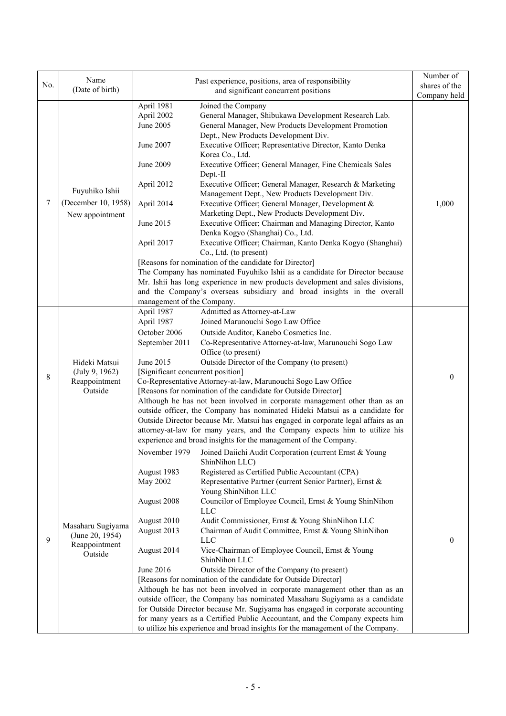|     | Name                                                             |                                   | Past experience, positions, area of responsibility                                                                                                              | Number of     |
|-----|------------------------------------------------------------------|-----------------------------------|-----------------------------------------------------------------------------------------------------------------------------------------------------------------|---------------|
| No. | (Date of birth)                                                  |                                   | and significant concurrent positions                                                                                                                            | shares of the |
|     |                                                                  |                                   |                                                                                                                                                                 | Company held  |
|     | Fuyuhiko Ishii<br>(December 10, 1958)<br>New appointment         | April 1981                        | Joined the Company                                                                                                                                              |               |
|     |                                                                  | April 2002                        | General Manager, Shibukawa Development Research Lab.                                                                                                            |               |
|     |                                                                  | June 2005                         | General Manager, New Products Development Promotion                                                                                                             |               |
|     |                                                                  |                                   | Dept., New Products Development Div.                                                                                                                            |               |
|     |                                                                  | June 2007                         | Executive Officer; Representative Director, Kanto Denka                                                                                                         |               |
|     |                                                                  |                                   | Korea Co., Ltd.                                                                                                                                                 |               |
|     |                                                                  | June 2009                         | Executive Officer; General Manager, Fine Chemicals Sales                                                                                                        |               |
|     |                                                                  |                                   | Dept.-II                                                                                                                                                        |               |
| 7   |                                                                  | April 2012                        | Executive Officer; General Manager, Research & Marketing<br>Management Dept., New Products Development Div.                                                     |               |
|     |                                                                  | April 2014                        | Executive Officer; General Manager, Development &                                                                                                               | 1,000         |
|     |                                                                  |                                   | Marketing Dept., New Products Development Div.                                                                                                                  |               |
|     |                                                                  | June 2015                         | Executive Officer; Chairman and Managing Director, Kanto                                                                                                        |               |
|     |                                                                  |                                   | Denka Kogyo (Shanghai) Co., Ltd.                                                                                                                                |               |
|     |                                                                  | April 2017                        | Executive Officer; Chairman, Kanto Denka Kogyo (Shanghai)                                                                                                       |               |
|     |                                                                  |                                   | Co., Ltd. (to present)                                                                                                                                          |               |
|     |                                                                  |                                   | [Reasons for nomination of the candidate for Director]                                                                                                          |               |
|     |                                                                  |                                   | The Company has nominated Fuyuhiko Ishii as a candidate for Director because                                                                                    |               |
|     |                                                                  |                                   | Mr. Ishii has long experience in new products development and sales divisions,                                                                                  |               |
|     |                                                                  |                                   | and the Company's overseas subsidiary and broad insights in the overall                                                                                         |               |
|     |                                                                  | management of the Company.        |                                                                                                                                                                 |               |
|     |                                                                  | April 1987                        | Admitted as Attorney-at-Law                                                                                                                                     |               |
|     |                                                                  | April 1987                        | Joined Marunouchi Sogo Law Office                                                                                                                               |               |
|     |                                                                  | October 2006                      | Outside Auditor, Kanebo Cosmetics Inc.                                                                                                                          |               |
|     |                                                                  | September 2011                    | Co-Representative Attorney-at-law, Marunouchi Sogo Law                                                                                                          |               |
|     |                                                                  |                                   | Office (to present)                                                                                                                                             |               |
|     | Hideki Matsui                                                    | June 2015                         | Outside Director of the Company (to present)                                                                                                                    |               |
| 8   | (July 9, 1962)                                                   | [Significant concurrent position] |                                                                                                                                                                 | $\theta$      |
|     | Reappointment                                                    |                                   | Co-Representative Attorney-at-law, Marunouchi Sogo Law Office                                                                                                   |               |
|     | Outside                                                          |                                   | [Reasons for nomination of the candidate for Outside Director]                                                                                                  |               |
|     |                                                                  |                                   | Although he has not been involved in corporate management other than as an                                                                                      |               |
|     |                                                                  |                                   | outside officer, the Company has nominated Hideki Matsui as a candidate for                                                                                     |               |
|     |                                                                  |                                   | Outside Director because Mr. Matsui has engaged in corporate legal affairs as an                                                                                |               |
|     |                                                                  |                                   | attorney-at-law for many years, and the Company expects him to utilize his                                                                                      |               |
|     |                                                                  |                                   | experience and broad insights for the management of the Company.                                                                                                |               |
|     |                                                                  | November 1979                     | Joined Daiichi Audit Corporation (current Ernst & Young                                                                                                         |               |
|     | Masaharu Sugiyama<br>(June 20, 1954)<br>Reappointment<br>Outside |                                   | ShinNihon LLC)                                                                                                                                                  |               |
|     |                                                                  | August 1983                       | Registered as Certified Public Accountant (CPA)                                                                                                                 |               |
|     |                                                                  | May 2002                          | Representative Partner (current Senior Partner), Ernst &                                                                                                        |               |
|     |                                                                  |                                   | Young ShinNihon LLC                                                                                                                                             |               |
|     |                                                                  | August 2008                       | Councilor of Employee Council, Ernst & Young ShinNihon<br><b>LLC</b>                                                                                            |               |
|     |                                                                  | August 2010                       | Audit Commissioner, Ernst & Young ShinNihon LLC                                                                                                                 |               |
|     |                                                                  | August 2013                       | Chairman of Audit Committee, Ernst & Young ShinNihon                                                                                                            |               |
| 9   |                                                                  |                                   | <b>LLC</b>                                                                                                                                                      | $\theta$      |
|     |                                                                  | August 2014                       | Vice-Chairman of Employee Council, Ernst & Young                                                                                                                |               |
|     |                                                                  |                                   | ShinNihon LLC                                                                                                                                                   |               |
|     |                                                                  | June 2016                         | Outside Director of the Company (to present)                                                                                                                    |               |
|     |                                                                  |                                   | [Reasons for nomination of the candidate for Outside Director]                                                                                                  |               |
|     |                                                                  |                                   | Although he has not been involved in corporate management other than as an                                                                                      |               |
|     |                                                                  |                                   | outside officer, the Company has nominated Masaharu Sugiyama as a candidate                                                                                     |               |
|     |                                                                  |                                   | for Outside Director because Mr. Sugiyama has engaged in corporate accounting                                                                                   |               |
|     |                                                                  |                                   | for many years as a Certified Public Accountant, and the Company expects him<br>to utilize his experience and broad insights for the management of the Company. |               |
|     |                                                                  |                                   |                                                                                                                                                                 |               |